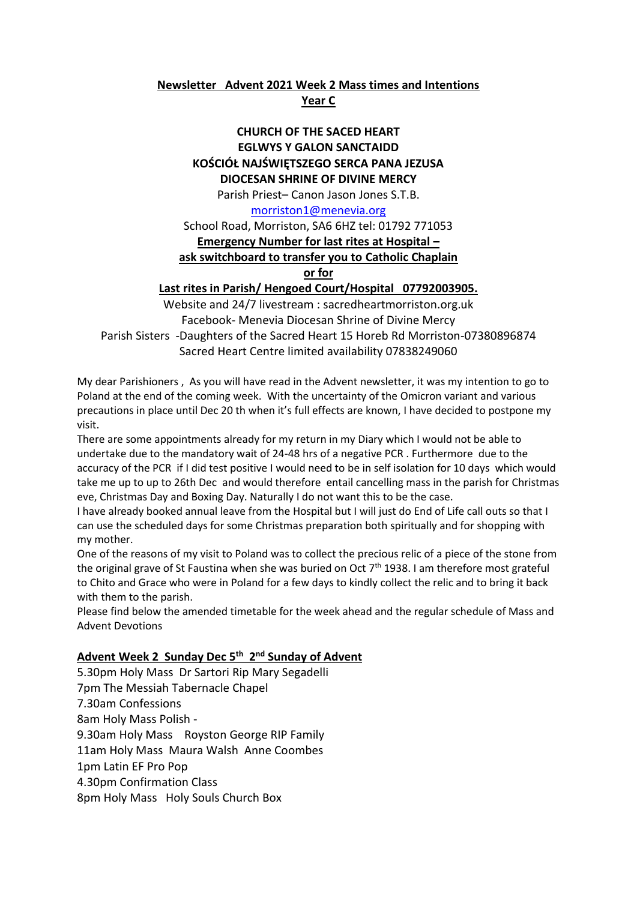# **Newsletter Advent 2021 Week 2 Mass times and Intentions**

#### **Year C**

#### **CHURCH OF THE SACED HEART EGLWYS Y GALON SANCTAIDD KOŚCIÓŁ NAJŚWIĘTSZEGO SERCA PANA JEZUSA DIOCESAN SHRINE OF DIVINE MERCY**

Parish Priest– Canon Jason Jones S.T.B.

[morriston1@menevia.org](mailto:morriston1@menevia.org)

School Road, Morriston, SA6 6HZ tel: 01792 771053

### **Emergency Number for last rites at Hospital –**

### **ask switchboard to transfer you to Catholic Chaplain**

**or for** 

### **Last rites in Parish/ Hengoed Court/Hospital 07792003905.**

Website and 24/7 livestream : sacredheartmorriston.org.uk Facebook- Menevia Diocesan Shrine of Divine Mercy Parish Sisters -Daughters of the Sacred Heart 15 Horeb Rd Morriston-07380896874 Sacred Heart Centre limited availability 07838249060

My dear Parishioners , As you will have read in the Advent newsletter, it was my intention to go to Poland at the end of the coming week. With the uncertainty of the Omicron variant and various precautions in place until Dec 20 th when it's full effects are known, I have decided to postpone my visit.

There are some appointments already for my return in my Diary which I would not be able to undertake due to the mandatory wait of 24-48 hrs of a negative PCR . Furthermore due to the accuracy of the PCR if I did test positive I would need to be in self isolation for 10 days which would take me up to up to 26th Dec and would therefore entail cancelling mass in the parish for Christmas eve, Christmas Day and Boxing Day. Naturally I do not want this to be the case.

I have already booked annual leave from the Hospital but I will just do End of Life call outs so that I can use the scheduled days for some Christmas preparation both spiritually and for shopping with my mother.

One of the reasons of my visit to Poland was to collect the precious relic of a piece of the stone from the original grave of St Faustina when she was buried on Oct 7<sup>th</sup> 1938. I am therefore most grateful to Chito and Grace who were in Poland for a few days to kindly collect the relic and to bring it back with them to the parish.

Please find below the amended timetable for the week ahead and the regular schedule of Mass and Advent Devotions

## **Advent Week 2 Sunday Dec 5th 2 nd Sunday of Advent**

5.30pm Holy Mass Dr Sartori Rip Mary Segadelli 7pm The Messiah Tabernacle Chapel 7.30am Confessions 8am Holy Mass Polish - 9.30am Holy Mass Royston George RIP Family 11am Holy Mass Maura Walsh Anne Coombes 1pm Latin EF Pro Pop 4.30pm Confirmation Class 8pm Holy Mass Holy Souls Church Box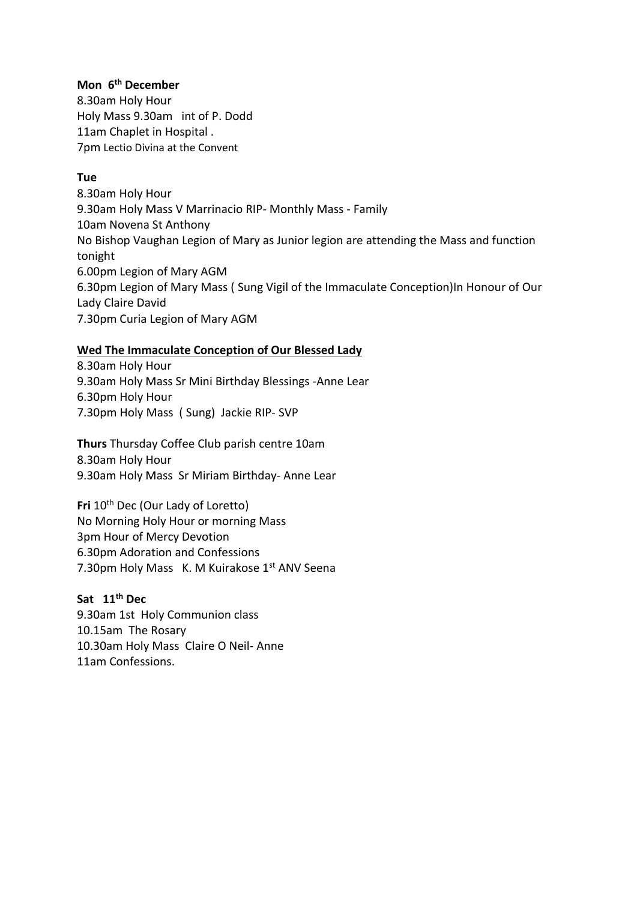## **Mon 6 th December**

8.30am Holy Hour Holy Mass 9.30am int of P. Dodd 11am Chaplet in Hospital . 7pm Lectio Divina at the Convent

## **Tue**

8.30am Holy Hour 9.30am Holy Mass V Marrinacio RIP- Monthly Mass - Family 10am Novena St Anthony No Bishop Vaughan Legion of Mary as Junior legion are attending the Mass and function tonight 6.00pm Legion of Mary AGM 6.30pm Legion of Mary Mass ( Sung Vigil of the Immaculate Conception)In Honour of Our Lady Claire David 7.30pm Curia Legion of Mary AGM

# **Wed The Immaculate Conception of Our Blessed Lady**

8.30am Holy Hour 9.30am Holy Mass Sr Mini Birthday Blessings -Anne Lear 6.30pm Holy Hour 7.30pm Holy Mass ( Sung) Jackie RIP- SVP

**Thurs** Thursday Coffee Club parish centre 10am 8.30am Holy Hour 9.30am Holy Mass Sr Miriam Birthday- Anne Lear

**Fri** 10<sup>th</sup> Dec (Our Lady of Loretto) No Morning Holy Hour or morning Mass 3pm Hour of Mercy Devotion 6.30pm Adoration and Confessions 7.30pm Holy Mass K. M Kuirakose 1st ANV Seena

### **Sat 11th Dec**

9.30am 1st Holy Communion class 10.15amThe Rosary 10.30am Holy Mass Claire O Neil- Anne 11am Confessions.